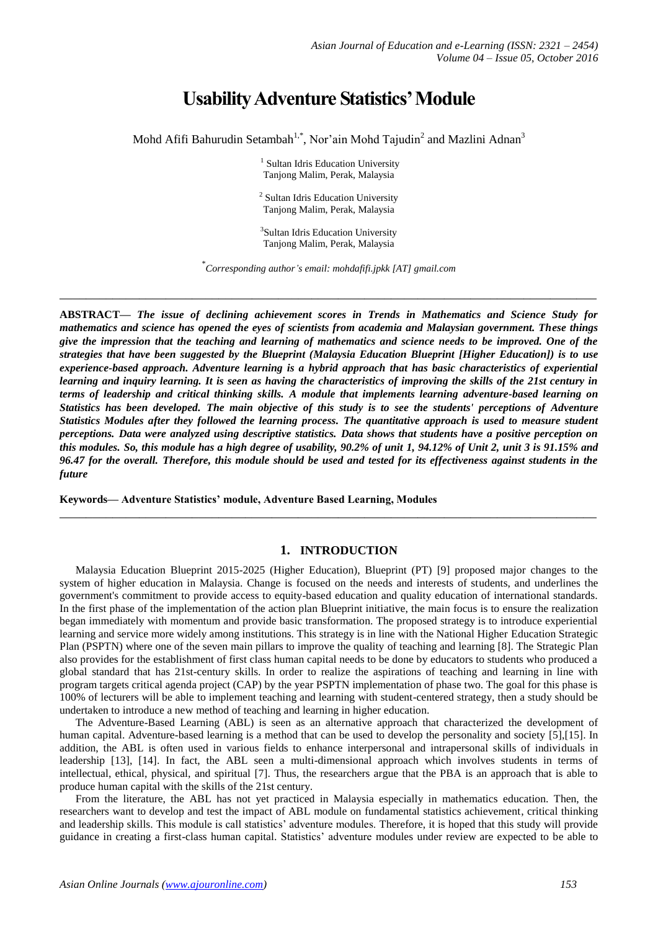# **Usability Adventure Statistics' Module**

Mohd Afifi Bahurudin Setambah<sup>1,\*</sup>, Nor'ain Mohd Tajudin<sup>2</sup> and Mazlini Adnan<sup>3</sup>

<sup>1</sup> Sultan Idris Education University Tanjong Malim, Perak, Malaysia

<sup>2</sup> Sultan Idris Education University Tanjong Malim, Perak, Malaysia

3 Sultan Idris Education University Tanjong Malim, Perak, Malaysia

\* *Corresponding author's email: mohdafifi.jpkk [AT] gmail.com*

**\_\_\_\_\_\_\_\_\_\_\_\_\_\_\_\_\_\_\_\_\_\_\_\_\_\_\_\_\_\_\_\_\_\_\_\_\_\_\_\_\_\_\_\_\_\_\_\_\_\_\_\_\_\_\_\_\_\_\_\_\_\_\_\_\_\_\_\_\_\_\_\_\_\_\_\_\_\_\_\_\_**

**ABSTRACT—** *The issue of declining achievement scores in Trends in Mathematics and Science Study for mathematics and science has opened the eyes of scientists from academia and Malaysian government. These things give the impression that the teaching and learning of mathematics and science needs to be improved. One of the strategies that have been suggested by the Blueprint (Malaysia Education Blueprint [Higher Education]) is to use experience-based approach. Adventure learning is a hybrid approach that has basic characteristics of experiential learning and inquiry learning. It is seen as having the characteristics of improving the skills of the 21st century in terms of leadership and critical thinking skills. A module that implements learning adventure-based learning on Statistics has been developed. The main objective of this study is to see the students' perceptions of Adventure Statistics Modules after they followed the learning process. The quantitative approach is used to measure student perceptions. Data were analyzed using descriptive statistics. Data shows that students have a positive perception on this modules. So, this module has a high degree of usability, 90.2% of unit 1, 94.12% of Unit 2, unit 3 is 91.15% and 96.47 for the overall. Therefore, this module should be used and tested for its effectiveness against students in the future*

**Keywords— Adventure Statistics' module, Adventure Based Learning, Modules**

### **1. INTRODUCTION**

**\_\_\_\_\_\_\_\_\_\_\_\_\_\_\_\_\_\_\_\_\_\_\_\_\_\_\_\_\_\_\_\_\_\_\_\_\_\_\_\_\_\_\_\_\_\_\_\_\_\_\_\_\_\_\_\_\_\_\_\_\_\_\_\_\_\_\_\_\_\_\_\_\_\_\_\_\_\_\_\_\_**

Malaysia Education Blueprint 2015-2025 (Higher Education), Blueprint (PT) [9] proposed major changes to the system of higher education in Malaysia. Change is focused on the needs and interests of students, and underlines the government's commitment to provide access to equity-based education and quality education of international standards. In the first phase of the implementation of the action plan Blueprint initiative, the main focus is to ensure the realization began immediately with momentum and provide basic transformation. The proposed strategy is to introduce experiential learning and service more widely among institutions. This strategy is in line with the National Higher Education Strategic Plan (PSPTN) where one of the seven main pillars to improve the quality of teaching and learning [8]. The Strategic Plan also provides for the establishment of first class human capital needs to be done by educators to students who produced a global standard that has 21st-century skills. In order to realize the aspirations of teaching and learning in line with program targets critical agenda project (CAP) by the year PSPTN implementation of phase two. The goal for this phase is 100% of lecturers will be able to implement teaching and learning with student-centered strategy, then a study should be undertaken to introduce a new method of teaching and learning in higher education.

The Adventure-Based Learning (ABL) is seen as an alternative approach that characterized the development of human capital. Adventure-based learning is a method that can be used to develop the personality and society [5],[15]. In addition, the ABL is often used in various fields to enhance interpersonal and intrapersonal skills of individuals in leadership [13], [14]. In fact, the ABL seen a multi-dimensional approach which involves students in terms of intellectual, ethical, physical, and spiritual [7]. Thus, the researchers argue that the PBA is an approach that is able to produce human capital with the skills of the 21st century.

From the literature, the ABL has not yet practiced in Malaysia especially in mathematics education. Then, the researchers want to develop and test the impact of ABL module on fundamental statistics achievement, critical thinking and leadership skills. This module is call statistics' adventure modules. Therefore, it is hoped that this study will provide guidance in creating a first-class human capital. Statistics' adventure modules under review are expected to be able to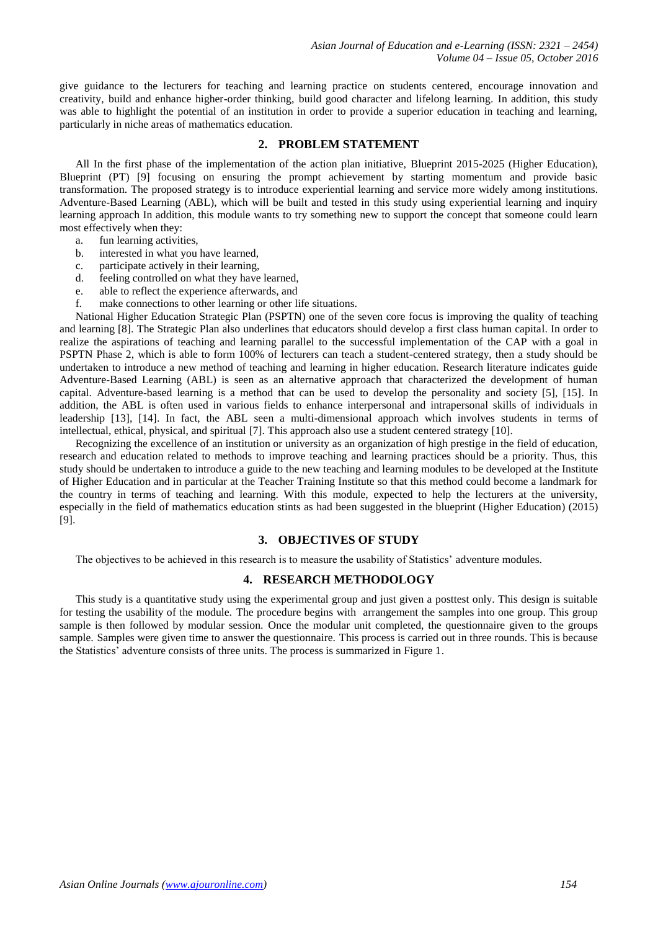give guidance to the lecturers for teaching and learning practice on students centered, encourage innovation and creativity, build and enhance higher-order thinking, build good character and lifelong learning. In addition, this study was able to highlight the potential of an institution in order to provide a superior education in teaching and learning, particularly in niche areas of mathematics education.

# **2. PROBLEM STATEMENT**

All In the first phase of the implementation of the action plan initiative, Blueprint 2015-2025 (Higher Education), Blueprint (PT) [9] focusing on ensuring the prompt achievement by starting momentum and provide basic transformation. The proposed strategy is to introduce experiential learning and service more widely among institutions. Adventure-Based Learning (ABL), which will be built and tested in this study using experiential learning and inquiry learning approach In addition, this module wants to try something new to support the concept that someone could learn most effectively when they:

- a. fun learning activities,
- b. interested in what you have learned,
- c. participate actively in their learning,
- d. feeling controlled on what they have learned,
- e. able to reflect the experience afterwards, and
- f. make connections to other learning or other life situations.

National Higher Education Strategic Plan (PSPTN) one of the seven core focus is improving the quality of teaching and learning [8]. The Strategic Plan also underlines that educators should develop a first class human capital. In order to realize the aspirations of teaching and learning parallel to the successful implementation of the CAP with a goal in PSPTN Phase 2, which is able to form 100% of lecturers can teach a student-centered strategy, then a study should be undertaken to introduce a new method of teaching and learning in higher education. Research literature indicates guide Adventure-Based Learning (ABL) is seen as an alternative approach that characterized the development of human capital. Adventure-based learning is a method that can be used to develop the personality and society [5], [15]. In addition, the ABL is often used in various fields to enhance interpersonal and intrapersonal skills of individuals in leadership [13], [14]. In fact, the ABL seen a multi-dimensional approach which involves students in terms of intellectual, ethical, physical, and spiritual [7]. This approach also use a student centered strategy [10].

Recognizing the excellence of an institution or university as an organization of high prestige in the field of education, research and education related to methods to improve teaching and learning practices should be a priority. Thus, this study should be undertaken to introduce a guide to the new teaching and learning modules to be developed at the Institute of Higher Education and in particular at the Teacher Training Institute so that this method could become a landmark for the country in terms of teaching and learning. With this module, expected to help the lecturers at the university, especially in the field of mathematics education stints as had been suggested in the blueprint (Higher Education) (2015) [9].

#### **3. OBJECTIVES OF STUDY**

The objectives to be achieved in this research is to measure the usability of Statistics' adventure modules.

#### **4. RESEARCH METHODOLOGY**

This study is a quantitative study using the experimental group and just given a posttest only. This design is suitable for testing the usability of the module. The procedure begins with arrangement the samples into one group. This group sample is then followed by modular session. Once the modular unit completed, the questionnaire given to the groups sample. Samples were given time to answer the questionnaire. This process is carried out in three rounds. This is because the Statistics' adventure consists of three units. The process is summarized in Figure 1.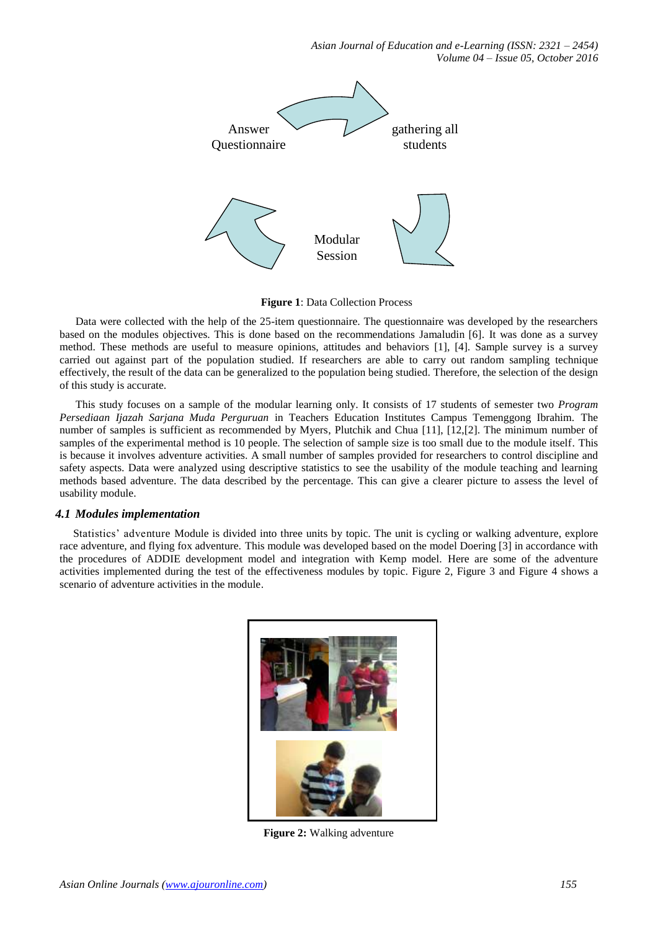

**Figure 1**: Data Collection Process

Data were collected with the help of the 25-item questionnaire. The questionnaire was developed by the researchers based on the modules objectives. This is done based on the recommendations Jamaludin [6]. It was done as a survey method. These methods are useful to measure opinions, attitudes and behaviors [1], [4]. Sample survey is a survey carried out against part of the population studied. If researchers are able to carry out random sampling technique effectively, the result of the data can be generalized to the population being studied. Therefore, the selection of the design of this study is accurate.

This study focuses on a sample of the modular learning only. It consists of 17 students of semester two *Program Persediaan Ijazah Sarjana Muda Perguruan* in Teachers Education Institutes Campus Temenggong Ibrahim. The number of samples is sufficient as recommended by Myers, Plutchik and Chua [11], [12,[2]. The minimum number of samples of the experimental method is 10 people. The selection of sample size is too small due to the module itself. This is because it involves adventure activities. A small number of samples provided for researchers to control discipline and safety aspects. Data were analyzed using descriptive statistics to see the usability of the module teaching and learning methods based adventure. The data described by the percentage. This can give a clearer picture to assess the level of usability module.

#### *4.1 Modules implementation*

Statistics' adventure Module is divided into three units by topic. The unit is cycling or walking adventure, explore race adventure, and flying fox adventure. This module was developed based on the model Doering [3] in accordance with the procedures of ADDIE development model and integration with Kemp model. Here are some of the adventure activities implemented during the test of the effectiveness modules by topic. Figure 2, Figure 3 and Figure 4 shows a scenario of adventure activities in the module.



**Figure 2:** Walking adventure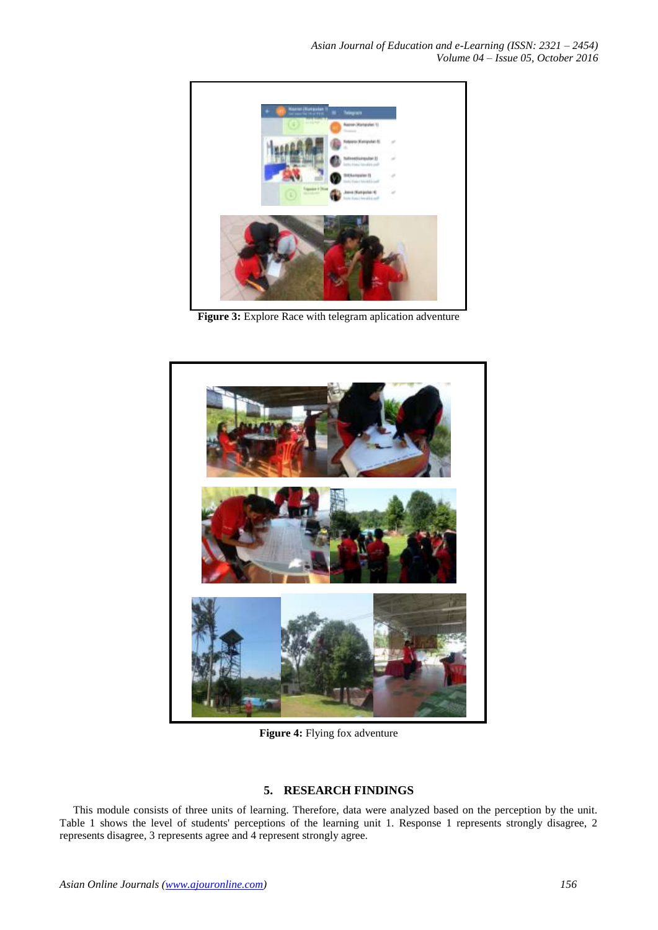

**Figure 3:** Explore Race with telegram aplication adventure



**Figure 4:** Flying fox adventure

# **5. RESEARCH FINDINGS**

This module consists of three units of learning. Therefore, data were analyzed based on the perception by the unit. Table 1 shows the level of students' perceptions of the learning unit 1. Response 1 represents strongly disagree, 2 represents disagree, 3 represents agree and 4 represent strongly agree.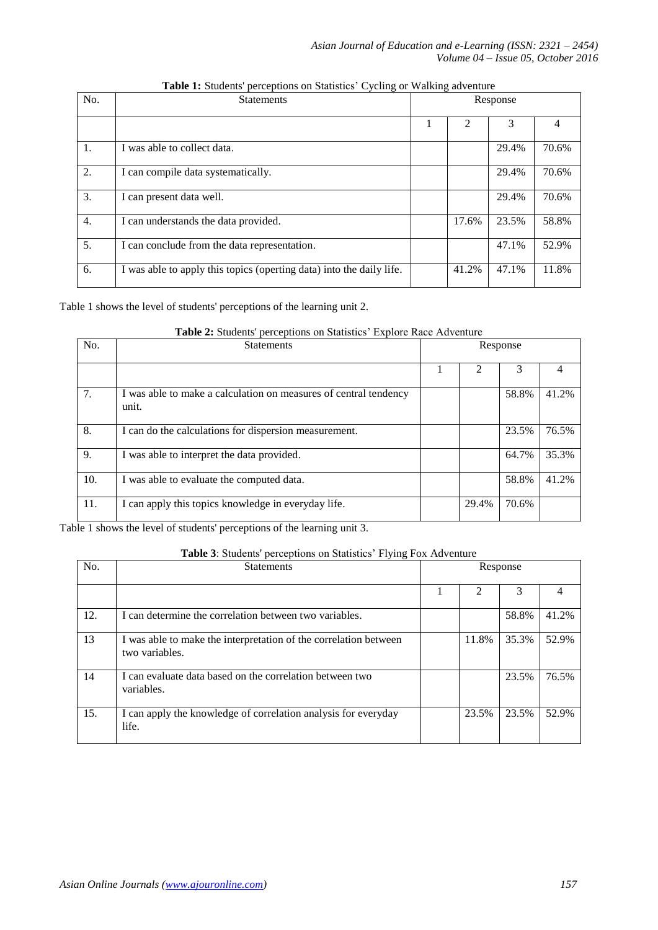| No. | <b>Statements</b>                                                    | Response |       |       |       |
|-----|----------------------------------------------------------------------|----------|-------|-------|-------|
|     |                                                                      |          | 2     | 3     | 4     |
| 1.  | I was able to collect data.                                          |          |       | 29.4% | 70.6% |
| 2.  | I can compile data systematically.                                   |          |       | 29.4% | 70.6% |
| 3.  | I can present data well.                                             |          |       | 29.4% | 70.6% |
| 4.  | I can understands the data provided.                                 |          | 17.6% | 23.5% | 58.8% |
| 5.  | I can conclude from the data representation.                         |          |       | 47.1% | 52.9% |
| 6.  | I was able to apply this topics (operting data) into the daily life. |          | 41.2% | 47.1% | 11.8% |

**Table 1:** Students' perceptions on Statistics' Cycling or Walking adventure

Table 1 shows the level of students' perceptions of the learning unit 2.

| No. | <b>Statements</b>                                                         | Response |       |       |  |
|-----|---------------------------------------------------------------------------|----------|-------|-------|--|
|     |                                                                           | 2        | 3     |       |  |
| 7.  | I was able to make a calculation on measures of central tendency<br>unit. |          | 58.8% | 41.2% |  |
| 8.  | I can do the calculations for dispersion measurement.                     |          | 23.5% | 76.5% |  |
| 9.  | I was able to interpret the data provided.                                |          | 64.7% | 35.3% |  |
| 10. | I was able to evaluate the computed data.                                 |          | 58.8% | 41.2% |  |
| 11. | I can apply this topics knowledge in everyday life.                       | 29.4%    | 70.6% |       |  |

**Table 2:** Students' perceptions on Statistics' Explore Race Adventure

Table 1 shows the level of students' perceptions of the learning unit 3.

**Table 3**: Students' perceptions on Statistics' Flying Fox Adventure

| No. | <b>Statements</b>                                                                  | Response |       |       |       |
|-----|------------------------------------------------------------------------------------|----------|-------|-------|-------|
|     |                                                                                    |          | 2     | 3     |       |
| 12. | I can determine the correlation between two variables.                             |          |       | 58.8% | 41.2% |
| 13  | I was able to make the interpretation of the correlation between<br>two variables. |          | 11.8% | 35.3% | 52.9% |
| 14  | I can evaluate data based on the correlation between two<br>variables.             |          |       | 23.5% | 76.5% |
| 15. | I can apply the knowledge of correlation analysis for everyday<br>life.            |          | 23.5% | 23.5% | 52.9% |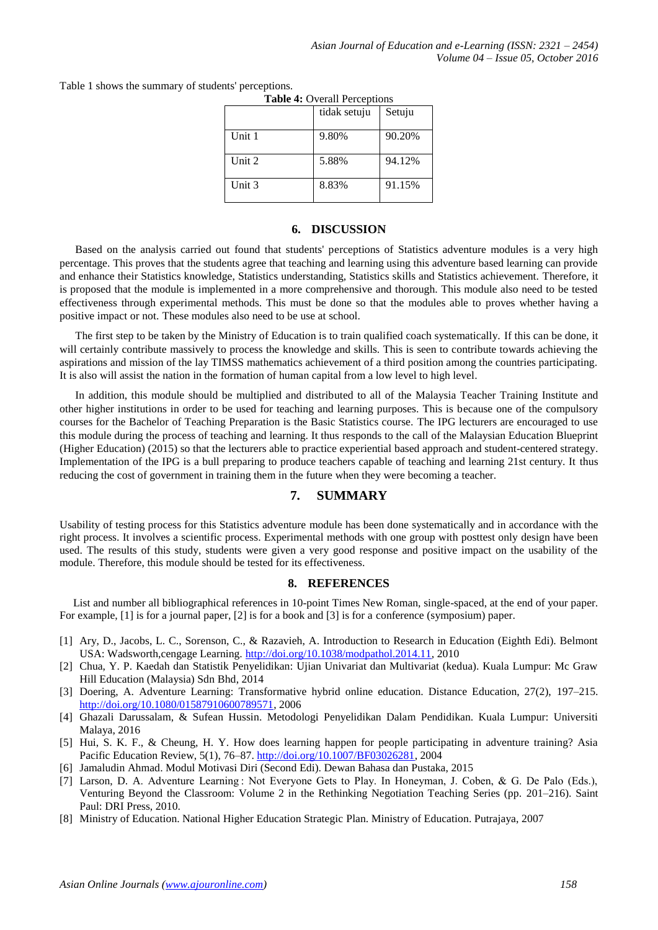Table 1 shows the summary of students' perceptions.

| <b>Table 4: Overall Perceptions</b> |              |        |  |  |
|-------------------------------------|--------------|--------|--|--|
|                                     | tidak setuju | Setuju |  |  |
| Unit 1                              | 9.80%        | 90.20% |  |  |
| Unit 2                              | 5.88%        | 94.12% |  |  |
| Unit 3                              | 8.83%        | 91.15% |  |  |

# **6. DISCUSSION**

Based on the analysis carried out found that students' perceptions of Statistics adventure modules is a very high percentage. This proves that the students agree that teaching and learning using this adventure based learning can provide and enhance their Statistics knowledge, Statistics understanding, Statistics skills and Statistics achievement. Therefore, it is proposed that the module is implemented in a more comprehensive and thorough. This module also need to be tested effectiveness through experimental methods. This must be done so that the modules able to proves whether having a positive impact or not. These modules also need to be use at school.

The first step to be taken by the Ministry of Education is to train qualified coach systematically. If this can be done, it will certainly contribute massively to process the knowledge and skills. This is seen to contribute towards achieving the aspirations and mission of the lay TIMSS mathematics achievement of a third position among the countries participating. It is also will assist the nation in the formation of human capital from a low level to high level.

In addition, this module should be multiplied and distributed to all of the Malaysia Teacher Training Institute and other higher institutions in order to be used for teaching and learning purposes. This is because one of the compulsory courses for the Bachelor of Teaching Preparation is the Basic Statistics course. The IPG lecturers are encouraged to use this module during the process of teaching and learning. It thus responds to the call of the Malaysian Education Blueprint (Higher Education) (2015) so that the lecturers able to practice experiential based approach and student-centered strategy. Implementation of the IPG is a bull preparing to produce teachers capable of teaching and learning 21st century. It thus reducing the cost of government in training them in the future when they were becoming a teacher.

#### **7. SUMMARY**

Usability of testing process for this Statistics adventure module has been done systematically and in accordance with the right process. It involves a scientific process. Experimental methods with one group with posttest only design have been used. The results of this study, students were given a very good response and positive impact on the usability of the module. Therefore, this module should be tested for its effectiveness.

#### **8. REFERENCES**

List and number all bibliographical references in 10-point Times New Roman, single-spaced, at the end of your paper. For example, [1] is for a journal paper, [2] is for a book and [3] is for a conference (symposium) paper.

- [1] Ary, D., Jacobs, L. C., Sorenson, C., & Razavieh, A. Introduction to Research in Education (Eighth Edi). Belmont USA: Wadsworth,cengage Learning. [http://doi.org/10.1038/modpathol.2014.11,](http://doi.org/10.1038/modpathol.2014.11) 2010
- [2] Chua, Y. P. Kaedah dan Statistik Penyelidikan: Ujian Univariat dan Multivariat (kedua). Kuala Lumpur: Mc Graw Hill Education (Malaysia) Sdn Bhd, 2014
- [3] Doering, A. Adventure Learning: Transformative hybrid online education. Distance Education, 27(2), 197–215. [http://doi.org/10.1080/01587910600789571,](http://doi.org/10.1080/01587910600789571) 2006
- [4] Ghazali Darussalam, & Sufean Hussin. Metodologi Penyelidikan Dalam Pendidikan. Kuala Lumpur: Universiti Malaya, 2016
- [5] Hui, S. K. F., & Cheung, H. Y. How does learning happen for people participating in adventure training? Asia Pacific Education Review, 5(1), 76–87[. http://doi.org/10.1007/BF03026281,](http://doi.org/10.1007/BF03026281) 2004
- [6] Jamaludin Ahmad. Modul Motivasi Diri (Second Edi). Dewan Bahasa dan Pustaka, 2015
- [7] Larson, D. A. Adventure Learning : Not Everyone Gets to Play. In Honeyman, J. Coben, & G. De Palo (Eds.), Venturing Beyond the Classroom: Volume 2 in the Rethinking Negotiation Teaching Series (pp. 201–216). Saint Paul: DRI Press, 2010.
- [8] Ministry of Education. National Higher Education Strategic Plan. Ministry of Education. Putrajaya, 2007